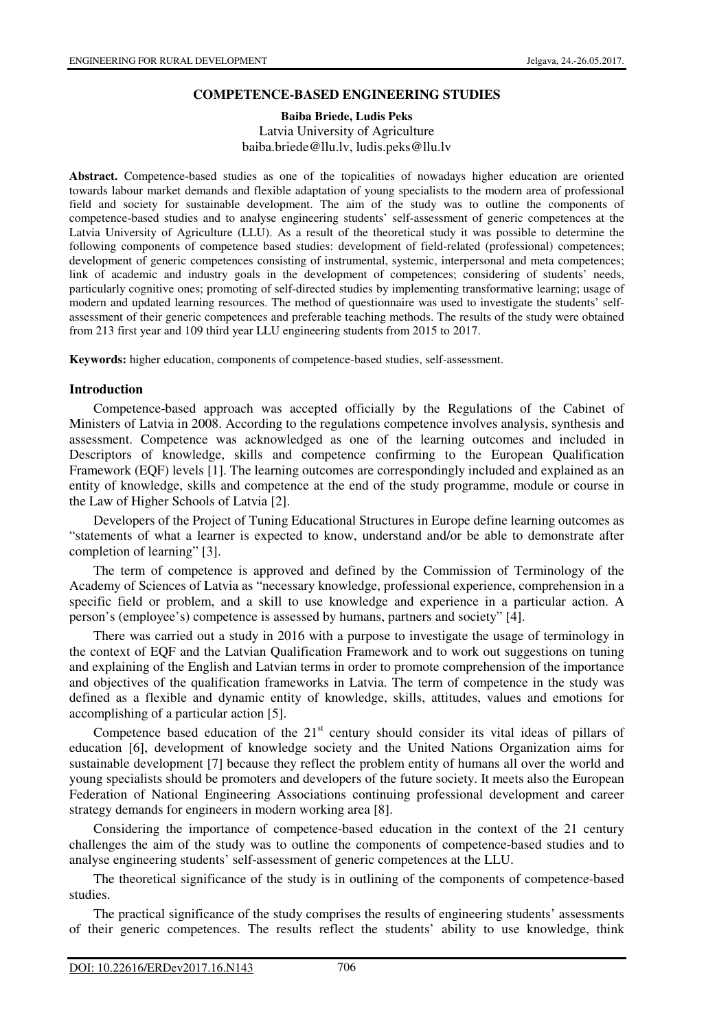#### **COMPETENCE-BASED ENGINEERING STUDIES**

#### **Baiba Briede, Ludis Peks** Latvia University of Agriculture baiba.briede@llu.lv, ludis.peks@llu.lv

**Abstract.** Competence-based studies as one of the topicalities of nowadays higher education are oriented towards labour market demands and flexible adaptation of young specialists to the modern area of professional field and society for sustainable development. The aim of the study was to outline the components of competence-based studies and to analyse engineering students' self-assessment of generic competences at the Latvia University of Agriculture (LLU). As a result of the theoretical study it was possible to determine the following components of competence based studies: development of field-related (professional) competences; development of generic competences consisting of instrumental, systemic, interpersonal and meta competences; link of academic and industry goals in the development of competences; considering of students' needs, particularly cognitive ones; promoting of self-directed studies by implementing transformative learning; usage of modern and updated learning resources. The method of questionnaire was used to investigate the students' selfassessment of their generic competences and preferable teaching methods. The results of the study were obtained from 213 first year and 109 third year LLU engineering students from 2015 to 2017.

**Keywords:** higher education, components of competence-based studies, self-assessment.

#### **Introduction**

Competence-based approach was accepted officially by the Regulations of the Cabinet of Ministers of Latvia in 2008. According to the regulations competence involves analysis, synthesis and assessment. Competence was acknowledged as one of the learning outcomes and included in Descriptors of knowledge, skills and competence confirming to the European Qualification Framework (EQF) levels [1]. The learning outcomes are correspondingly included and explained as an entity of knowledge, skills and competence at the end of the study programme, module or course in the Law of Higher Schools of Latvia [2].

Developers of the Project of Tuning Educational Structures in Europe define learning outcomes as "statements of what a learner is expected to know, understand and/or be able to demonstrate after completion of learning" [3].

The term of competence is approved and defined by the Commission of Terminology of the Academy of Sciences of Latvia as "necessary knowledge, professional experience, comprehension in a specific field or problem, and a skill to use knowledge and experience in a particular action. A person's (employee's) competence is assessed by humans, partners and society" [4].

There was carried out a study in 2016 with a purpose to investigate the usage of terminology in the context of EQF and the Latvian Qualification Framework and to work out suggestions on tuning and explaining of the English and Latvian terms in order to promote comprehension of the importance and objectives of the qualification frameworks in Latvia. The term of competence in the study was defined as a flexible and dynamic entity of knowledge, skills, attitudes, values and emotions for accomplishing of a particular action [5].

Competence based education of the  $21<sup>st</sup>$  century should consider its vital ideas of pillars of education [6], development of knowledge society and the United Nations Organization aims for sustainable development [7] because they reflect the problem entity of humans all over the world and young specialists should be promoters and developers of the future society. It meets also the European Federation of National Engineering Associations continuing professional development and career strategy demands for engineers in modern working area [8].

Considering the importance of competence-based education in the context of the 21 century challenges the aim of the study was to outline the components of competence-based studies and to analyse engineering students' self-assessment of generic competences at the LLU.

The theoretical significance of the study is in outlining of the components of competence-based studies.

The practical significance of the study comprises the results of engineering students' assessments of their generic competences. The results reflect the students' ability to use knowledge, think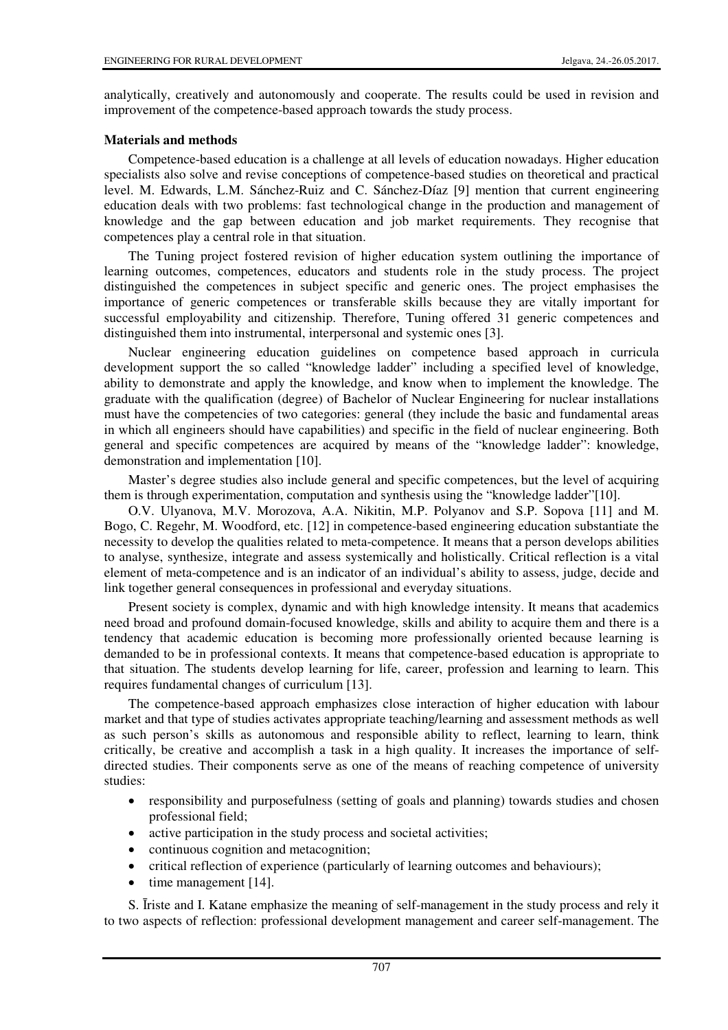analytically, creatively and autonomously and cooperate. The results could be used in revision and improvement of the competence-based approach towards the study process.

## **Materials and methods**

Competence-based education is a challenge at all levels of education nowadays. Higher education specialists also solve and revise conceptions of competence-based studies on theoretical and practical level. M. Edwards, L.M. Sánchez-Ruiz and C. Sánchez-Díaz [9] mention that current engineering education deals with two problems: fast technological change in the production and management of knowledge and the gap between education and job market requirements. They recognise that competences play a central role in that situation.

The Tuning project fostered revision of higher education system outlining the importance of learning outcomes, competences, educators and students role in the study process. The project distinguished the competences in subject specific and generic ones. The project emphasises the importance of generic competences or transferable skills because they are vitally important for successful employability and citizenship. Therefore, Tuning offered 31 generic competences and distinguished them into instrumental, interpersonal and systemic ones [3].

Nuclear engineering education guidelines on competence based approach in curricula development support the so called "knowledge ladder" including a specified level of knowledge, ability to demonstrate and apply the knowledge, and know when to implement the knowledge. The graduate with the qualification (degree) of Bachelor of Nuclear Engineering for nuclear installations must have the competencies of two categories: general (they include the basic and fundamental areas in which all engineers should have capabilities) and specific in the field of nuclear engineering. Both general and specific competences are acquired by means of the "knowledge ladder": knowledge, demonstration and implementation [10].

Master's degree studies also include general and specific competences, but the level of acquiring them is through experimentation, computation and synthesis using the "knowledge ladder"[10].

O.V. Ulyanova, M.V. Morozova, A.A. Nikitin, M.P. Polyanov and S.P. Sopova [11] and M. Bogo, C. Regehr, M. Woodford, etc. [12] in competence-based engineering education substantiate the necessity to develop the qualities related to meta-competence. It means that a person develops abilities to analyse, synthesize, integrate and assess systemically and holistically. Critical reflection is a vital element of meta-competence and is an indicator of an individual's ability to assess, judge, decide and link together general consequences in professional and everyday situations.

Present society is complex, dynamic and with high knowledge intensity. It means that academics need broad and profound domain-focused knowledge, skills and ability to acquire them and there is a tendency that academic education is becoming more professionally oriented because learning is demanded to be in professional contexts. It means that competence-based education is appropriate to that situation. The students develop learning for life, career, profession and learning to learn. This requires fundamental changes of curriculum [13].

The competence-based approach emphasizes close interaction of higher education with labour market and that type of studies activates appropriate teaching/learning and assessment methods as well as such person's skills as autonomous and responsible ability to reflect, learning to learn, think critically, be creative and accomplish a task in a high quality. It increases the importance of selfdirected studies. Their components serve as one of the means of reaching competence of university studies:

- responsibility and purposefulness (setting of goals and planning) towards studies and chosen professional field;
- active participation in the study process and societal activities;
- continuous cognition and metacognition;
- critical reflection of experience (particularly of learning outcomes and behaviours);
- time management [14].

S. Īriste and I. Katane emphasize the meaning of self-management in the study process and rely it to two aspects of reflection: professional development management and career self-management. The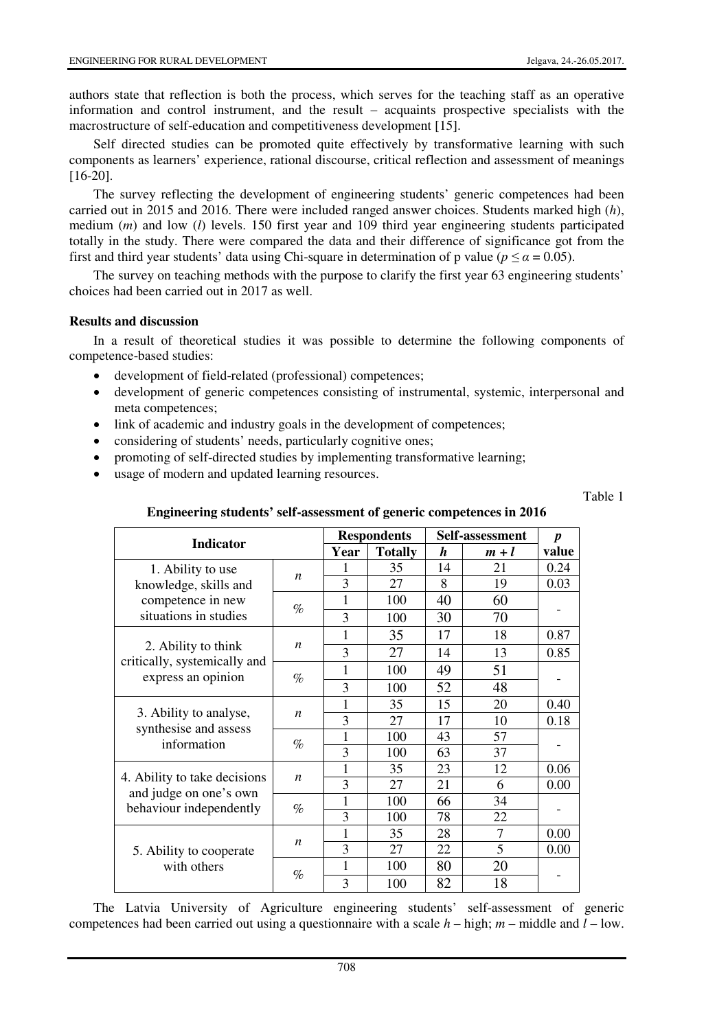authors state that reflection is both the process, which serves for the teaching staff as an operative information and control instrument, and the result – acquaints prospective specialists with the macrostructure of self-education and competitiveness development [15].

Self directed studies can be promoted quite effectively by transformative learning with such components as learners' experience, rational discourse, critical reflection and assessment of meanings [16-20].

The survey reflecting the development of engineering students' generic competences had been carried out in 2015 and 2016. There were included ranged answer choices. Students marked high (*h*), medium (*m*) and low (*l*) levels. 150 first year and 109 third year engineering students participated totally in the study. There were compared the data and their difference of significance got from the first and third year students' data using Chi-square in determination of p value ( $p \le \alpha = 0.05$ ).

The survey on teaching methods with the purpose to clarify the first year 63 engineering students' choices had been carried out in 2017 as well.

## **Results and discussion**

In a result of theoretical studies it was possible to determine the following components of competence-based studies:

- development of field-related (professional) competences;
- development of generic competences consisting of instrumental, systemic, interpersonal and meta competences;
- link of academic and industry goals in the development of competences;
- considering of students' needs, particularly cognitive ones;
- promoting of self-directed studies by implementing transformative learning;
- usage of modern and updated learning resources.

Table 1

| <b>Indicator</b>                                                                         |                  | <b>Respondents</b> |                | Self-assessment |                | $\boldsymbol{p}$ |
|------------------------------------------------------------------------------------------|------------------|--------------------|----------------|-----------------|----------------|------------------|
|                                                                                          |                  | Year               | <b>Totally</b> | h               | $m+l$          | value            |
| 1. Ability to use<br>knowledge, skills and<br>competence in new<br>situations in studies | n                |                    | 35             | 14              | 21             | 0.24             |
|                                                                                          |                  | 3                  | 27             | 8               | 19             | 0.03             |
|                                                                                          | $\%$             | 1                  | 100            | 40              | 60             |                  |
|                                                                                          |                  | 3                  | 100            | 30              | 70             |                  |
| 2. Ability to think<br>critically, systemically and<br>express an opinion                | n                | 1                  | 35             | 17              | 18             | 0.87             |
|                                                                                          |                  | 3                  | 27             | 14              | 13             | 0.85             |
|                                                                                          | $\%$             | 1                  | 100            | 49              | 51             |                  |
|                                                                                          |                  | 3                  | 100            | 52              | 48             |                  |
| 3. Ability to analyse,<br>synthesise and assess<br>information                           | n                | 1                  | 35             | 15              | 20             | 0.40             |
|                                                                                          |                  | 3                  | 27             | 17              | 10             | 0.18             |
|                                                                                          | $\%$             | 1                  | 100            | 43              | 57             |                  |
|                                                                                          |                  | 3                  | 100            | 63              | 37             |                  |
| 4. Ability to take decisions<br>and judge on one's own<br>behaviour independently        | $\boldsymbol{n}$ | 1                  | 35             | 23              | 12             | 0.06             |
|                                                                                          |                  | 3                  | 27             | 21              | 6              | 0.00             |
|                                                                                          | $\%$             | 1                  | 100            | 66              | 34             |                  |
|                                                                                          |                  | 3                  | 100            | 78              | 22             |                  |
| 5. Ability to cooperate<br>with others                                                   | n                | $\mathbf{1}$       | 35             | 28              | $\overline{7}$ | 0.00             |
|                                                                                          |                  | $\overline{3}$     | 27             | 22              | 5              | 0.00             |
|                                                                                          | $\%$             | 1                  | 100            | 80              | 20             |                  |
|                                                                                          |                  | 3                  | 100            | 82              | 18             |                  |

### **Engineering students' self-assessment of generic competences in 2016**

The Latvia University of Agriculture engineering students' self-assessment of generic competences had been carried out using a questionnaire with a scale *h* – high; *m* – middle and *l* – low.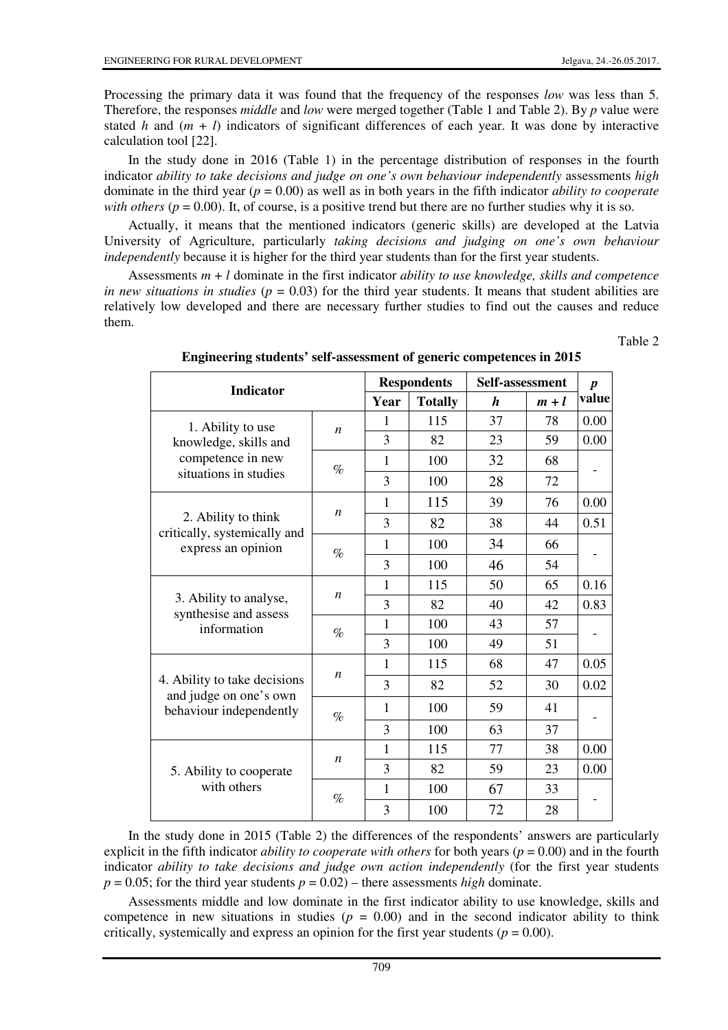Table 2

Processing the primary data it was found that the frequency of the responses *low* was less than 5. Therefore, the responses *middle* and *low* were merged together (Table 1 and Table 2). By *p* value were stated *h* and  $(m + l)$  indicators of significant differences of each year. It was done by interactive calculation tool [22].

In the study done in 2016 (Table 1) in the percentage distribution of responses in the fourth indicator *ability to take decisions and judge on one's own behaviour independently* assessments *high*  dominate in the third year (*p* = 0.00) as well as in both years in the fifth indicator *ability to cooperate with others* ( $p = 0.00$ ). It, of course, is a positive trend but there are no further studies why it is so.

Actually, it means that the mentioned indicators (generic skills) are developed at the Latvia University of Agriculture, particularly *taking decisions and judging on one's own behaviour independently* because it is higher for the third year students than for the first year students.

Assessments *m* + *l* dominate in the first indicator *ability to use knowledge, skills and competence in new situations in studies (* $p = 0.03$ *)* for the third year students. It means that student abilities are relatively low developed and there are necessary further studies to find out the causes and reduce them.

**Respondents Self-assessment Indicator**  $Totally$ *p*  **value** 1 | 115 | 37 | 78 | 0.00 *n*  3 | 82 | 23 | 59 | 0.00 1 | 100 | 32 | 68 1. Ability to use knowledge, skills and competence in new situations in studies  $\frac{1}{8}$ 3 100 28 72 - 1 | 115 | 39 | 76 | 0.00 *n*  3 82 38 44 0.51 1 100 34 66 2. Ability to think critically, systemically and express an opinion  $\begin{array}{ccc} \hline \end{array}$ 3 100 46 54 - 1 | 115 | 50 | 65 | 0.16 *n*  3 82 40 42 0.83 1 100 43 57 3. Ability to analyse, synthesise and assess information  $\theta$ 3 100 49 51 - 1 | 115 | 68 | 47 | 0.05 *n*  3 82 52 30 0.02 1 | 100 | 59 | 41 4. Ability to take decisions and judge on one's own behaviour independently  $\Big|_{\mathcal{O}_{\rho}}$ 3 | 100 | 63 | 37 - 1 | 115 | 77 | 38 | 0.00 *n*  3 82 59 23 0.00 1 | 100 | 67 | 33 5. Ability to cooperate with others  $\%$ 3 100 72 28 -

**Engineering students' self-assessment of generic competences in 2015** 

In the study done in 2015 (Table 2) the differences of the respondents' answers are particularly explicit in the fifth indicator *ability to cooperate with others* for both years (*p* = 0.00) and in the fourth indicator *ability to take decisions and judge own action independently* (for the first year students  $p = 0.05$ ; for the third year students  $p = 0.02$ ) – there assessments *high* dominate.

Assessments middle and low dominate in the first indicator ability to use knowledge, skills and competence in new situations in studies  $(p = 0.00)$  and in the second indicator ability to think critically, systemically and express an opinion for the first year students ( $p = 0.00$ ).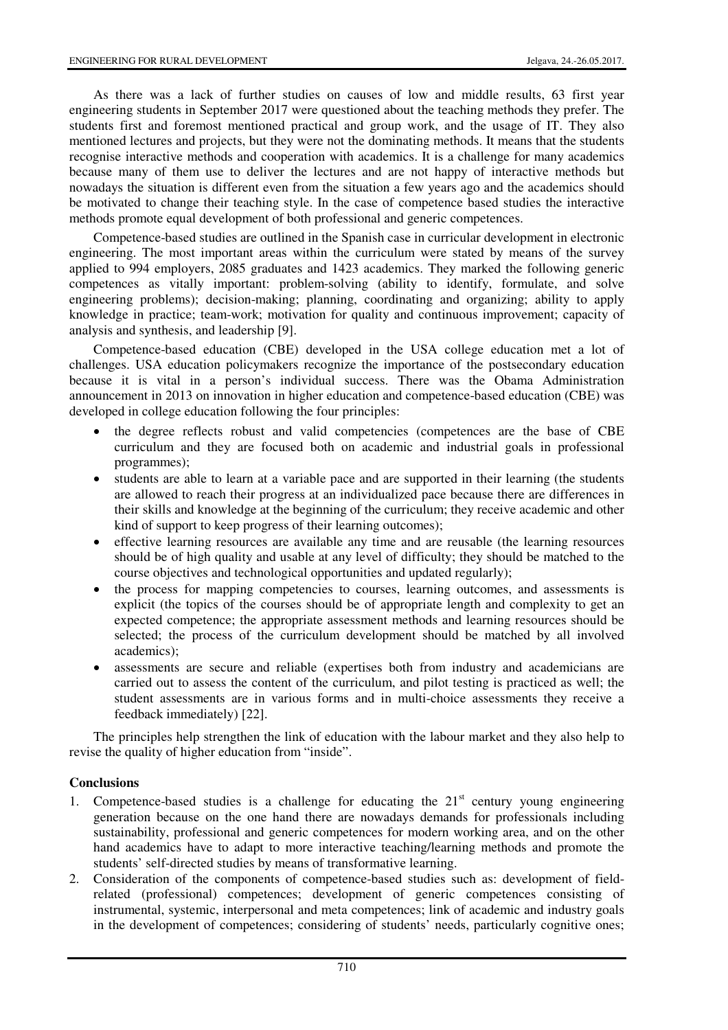As there was a lack of further studies on causes of low and middle results, 63 first year engineering students in September 2017 were questioned about the teaching methods they prefer. The students first and foremost mentioned practical and group work, and the usage of IT. They also mentioned lectures and projects, but they were not the dominating methods. It means that the students recognise interactive methods and cooperation with academics. It is a challenge for many academics because many of them use to deliver the lectures and are not happy of interactive methods but nowadays the situation is different even from the situation a few years ago and the academics should be motivated to change their teaching style. In the case of competence based studies the interactive methods promote equal development of both professional and generic competences.

Competence-based studies are outlined in the Spanish case in curricular development in electronic engineering. The most important areas within the curriculum were stated by means of the survey applied to 994 employers, 2085 graduates and 1423 academics. They marked the following generic competences as vitally important: problem-solving (ability to identify, formulate, and solve engineering problems); decision-making; planning, coordinating and organizing; ability to apply knowledge in practice; team-work; motivation for quality and continuous improvement; capacity of analysis and synthesis, and leadership [9].

Competence-based education (CBE) developed in the USA college education met a lot of challenges. USA education policymakers recognize the importance of the postsecondary education because it is vital in a person's individual success. There was the Obama Administration announcement in 2013 on innovation in higher education and competence-based education (CBE) was developed in college education following the four principles:

- the degree reflects robust and valid competencies (competences are the base of CBE curriculum and they are focused both on academic and industrial goals in professional programmes);
- students are able to learn at a variable pace and are supported in their learning (the students are allowed to reach their progress at an individualized pace because there are differences in their skills and knowledge at the beginning of the curriculum; they receive academic and other kind of support to keep progress of their learning outcomes);
- effective learning resources are available any time and are reusable (the learning resources should be of high quality and usable at any level of difficulty; they should be matched to the course objectives and technological opportunities and updated regularly);
- the process for mapping competencies to courses, learning outcomes, and assessments is explicit (the topics of the courses should be of appropriate length and complexity to get an expected competence; the appropriate assessment methods and learning resources should be selected; the process of the curriculum development should be matched by all involved academics);
- assessments are secure and reliable (expertises both from industry and academicians are carried out to assess the content of the curriculum, and pilot testing is practiced as well; the student assessments are in various forms and in multi-choice assessments they receive a feedback immediately) [22].

The principles help strengthen the link of education with the labour market and they also help to revise the quality of higher education from "inside".

## **Conclusions**

- 1. Competence-based studies is a challenge for educating the  $21<sup>st</sup>$  century young engineering generation because on the one hand there are nowadays demands for professionals including sustainability, professional and generic competences for modern working area, and on the other hand academics have to adapt to more interactive teaching/learning methods and promote the students' self-directed studies by means of transformative learning.
- 2. Consideration of the components of competence-based studies such as: development of fieldrelated (professional) competences; development of generic competences consisting of instrumental, systemic, interpersonal and meta competences; link of academic and industry goals in the development of competences; considering of students' needs, particularly cognitive ones;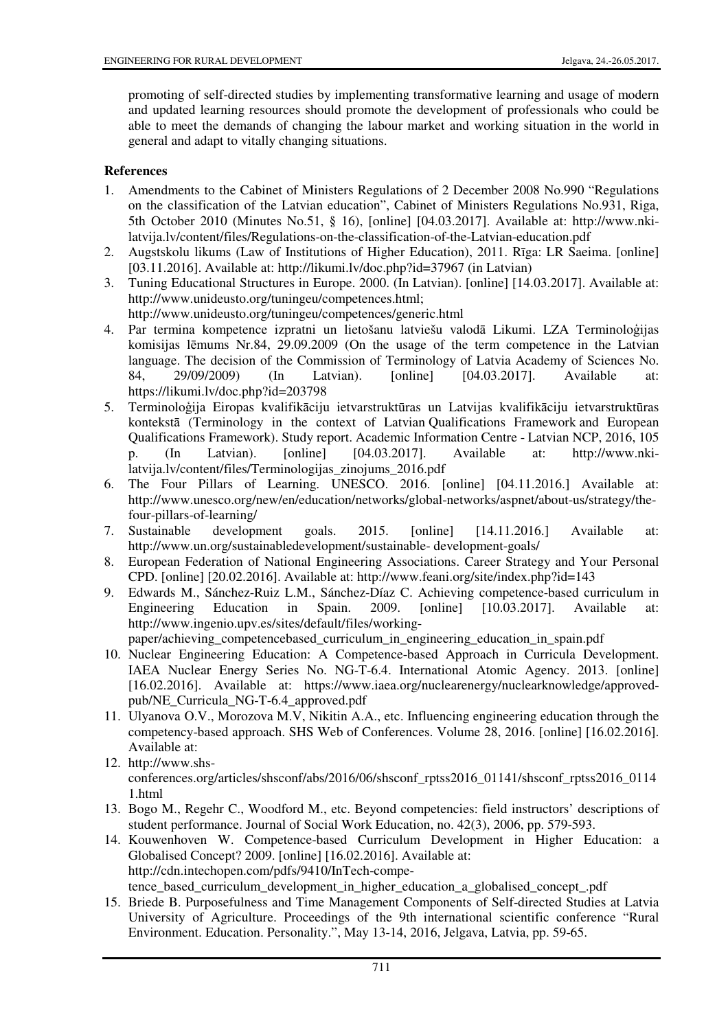promoting of self-directed studies by implementing transformative learning and usage of modern and updated learning resources should promote the development of professionals who could be able to meet the demands of changing the labour market and working situation in the world in general and adapt to vitally changing situations.

# **References**

- 1. Amendments to the Cabinet of Ministers Regulations of 2 December 2008 No.990 "Regulations on the classification of the Latvian education", Cabinet of Ministers Regulations No.931, Riga, 5th October 2010 (Minutes No.51, § 16), [online] [04.03.2017]. Available at: http://www.nkilatvija.lv/content/files/Regulations-on-the-classification-of-the-Latvian-education.pdf
- 2. Augstskolu likums (Law of Institutions of Higher Education), 2011. Rīga: LR Saeima. [online] [03.11.2016]. Available at: http://likumi.lv/doc.php?id=37967 (in Latvian)
- 3. Tuning Educational Structures in Europe. 2000. (In Latvian). [online] [14.03.2017]. Available at: http://www.unideusto.org/tuningeu/competences.html; http://www.unideusto.org/tuningeu/competences/generic.html
- 4. Par termina kompetence izpratni un lietošanu latviešu valodā Likumi. LZA Terminoloģijas komisijas lēmums Nr.84, 29.09.2009 (On the usage of the term competence in the Latvian language. The decision of the Commission of Terminology of Latvia Academy of Sciences No. 84, 29/09/2009) (In Latvian). [online] [04.03.2017]. Available at: https://likumi.lv/doc.php?id=203798
- 5. Terminoloģija Eiropas kvalifikāciju ietvarstruktūras un Latvijas kvalifikāciju ietvarstruktūras kontekstā (Terminology in the context of Latvian Qualifications Framework and European Qualifications Framework). Study report. Academic Information Centre - Latvian NCP, 2016, 105 p. (In Latvian). [online] [04.03.2017]. Available at: http://www.nkilatvija.lv/content/files/Terminologijas\_zinojums\_2016.pdf
- 6. The Four Pillars of Learning. UNESCO. 2016. [online] [04.11.2016.] Available at: http://www.unesco.org/new/en/education/networks/global-networks/aspnet/about-us/strategy/thefour-pillars-of-learning/
- 7. Sustainable development goals. 2015. [online] [14.11.2016.] Available at: http://www.un.org/sustainabledevelopment/sustainable- development-goals/
- 8. European Federation of National Engineering Associations. Career Strategy and Your Personal CPD. [online] [20.02.2016]. Available at: http://www.feani.org/site/index.php?id=143
- 9. Edwards M., Sánchez-Ruiz L.M., Sánchez-Díaz C. Achieving competence-based curriculum in Engineering Education in Spain. 2009. [online] [10.03.2017]. Available at: http://www.ingenio.upv.es/sites/default/files/workingpaper/achieving\_competencebased\_curriculum\_in\_engineering\_education\_in\_spain.pdf
- 10. Nuclear Engineering Education: A Competence-based Approach in Curricula Development. IAEA Nuclear Energy Series No. NG-T-6.4. International Atomic Agency. 2013. [online] [16.02.2016]. Available at: https://www.iaea.org/nuclearenergy/nuclearknowledge/approvedpub/NE\_Curricula\_NG-T-6.4\_approved.pdf
- 11. Ulyanova O.V., Morozova M.V, Nikitin A.A., etc. Influencing engineering education through the competency-based approach. SHS Web of Conferences. Volume 28, 2016. [online] [16.02.2016]. Available at:
- 12. http://www.shsconferences.org/articles/shsconf/abs/2016/06/shsconf\_rptss2016\_01141/shsconf\_rptss2016\_0114 1.html
- 13. Bogo M., Regehr C., Woodford M., etc. Beyond competencies: field instructors' descriptions of student performance. Journal of Social Work Education, no. 42(3), 2006, pp. 579-593.
- 14. Kouwenhoven W. Competence-based Curriculum Development in Higher Education: a Globalised Concept? 2009. [online] [16.02.2016]. Available at: http://cdn.intechopen.com/pdfs/9410/InTech-compe-

tence\_based\_curriculum\_development\_in\_higher\_education\_a\_globalised\_concept\_.pdf

15. Briede B. Purposefulness and Time Management Components of Self-directed Studies at Latvia University of Agriculture. Proceedings of the 9th international scientific conference "Rural Environment. Education. Personality.", May 13-14, 2016, Jelgava, Latvia, pp. 59-65.